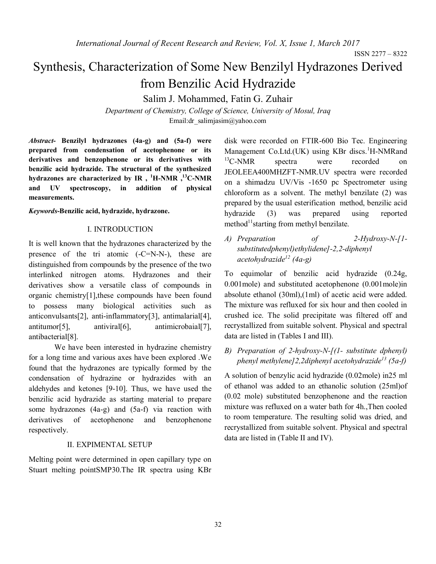ISSN 2277 – 8322

# Synthesis, Characterization of Some New Benzilyl Hydrazones Derived from Benzilic Acid Hydrazide

Salim J. Mohammed, Fatin G. Zuhair

*Department of Chemistry, College of Science, University of Mosul, Iraq* Email:dr\_salimjasim@yahoo.com

*Abstract***- Benzilyl hydrazones (4a-g) and (5a-f) were prepared from condensation of acetophenone or its derivatives and benzophenone or its derivatives with benzilic acid hydrazide. The structural of the synthesized hydrazones are characterized by IR , <sup>1</sup>H-NMR ,<sup>13</sup>C-NMR and UV spectroscopy, in addition of physical measurements.** 

*Keywords***-Benzilic acid, hydrazide, hydrazone.**

#### I. INTRODUCTION

It is well known that the hydrazones characterized by the presence of the tri atomic (-C=N-N-), these are distinguished from compounds by the presence of the two interlinked nitrogen atoms. Hydrazones and their derivatives show a versatile class of compounds in organic chemistry[1],these compounds have been found to possess many biological activities such as anticonvulsants[2], anti-inflammatory[3], antimalarial[4], antitumor[5], antiviral[6], antimicrobaial[7], antibacterial[8].

We have been interested in hydrazine chemistry for a long time and various axes have been explored .We found that the hydrazones are typically formed by the condensation of hydrazine or hydrazides with an aldehydes and ketones [9-10]. Thus, we have used the benzilic acid hydrazide as starting material to prepare some hydrazones (4a-g) and (5a-f) via reaction with derivatives of acetophenone and benzophenone respectively.

### II. EXPIMENTAL SETUP

Melting point were determined in open capillary type on Stuart melting pointSMP30.The IR spectra using KBr disk were recorded on FTIR-600 Bio Tec. Engineering Management Co.Ltd.(UK) using KBr discs.<sup>1</sup>H-NMRand  $^{13}$ C-NMR spectra were recorded on JEOLEEA400MHZFT-NMR.UV spectra were recorded on a shimadzu UV/Vis -1650 pc Spectrometer using chloroform as a solvent. The methyl benzilate (2) was prepared by the usual esterification method, benzilic acid hydrazide (3) was prepared using reported method $11$ starting from methyl benzilate.

*A) Preparation of 2-Hydroxy-N-[1 substitutedphenyl)ethylidene]-2,2-diphenyl acetohydrazide<sup>12</sup> (4a-g)*

To equimolar of benzilic acid hydrazide (0.24g, 0.001mole) and substituted acetophenone (0.001mole)in absolute ethanol (30ml),(1ml) of acetic acid were added. The mixture was refluxed for six hour and then cooled in crushed ice. The solid precipitate was filtered off and recrystallized from suitable solvent. Physical and spectral data are listed in (Tables I and III).

*B) Preparation of 2-hydroxy-N-[(1- substitute dphenyl) phenyl methylene]2,2diphenyl acetohydrazide<sup>13</sup> (5a-f)*

A solution of benzylic acid hydrazide (0.02mole) in25 ml of ethanol was added to an ethanolic solution (25ml)of (0.02 mole) substituted benzophenone and the reaction mixture was refluxed on a water bath for 4h.,Then cooled to room temperature. The resulting solid was dried, and recrystallized from suitable solvent. Physical and spectral data are listed in (Table II and IV).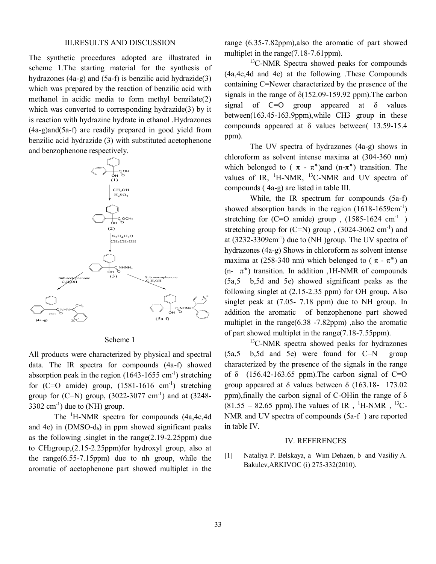### III.RESULTS AND DISCUSSION

The synthetic procedures adopted are illustrated in scheme 1.The starting material for the synthesis of hydrazones (4a-g) and (5a-f) is benzilic acid hydrazide(3) which was prepared by the reaction of benzilic acid with methanol in acidic media to form methyl benzilate(2) which was converted to corresponding hydrazide(3) by it is reaction with hydrazine hydrate in ethanol .Hydrazones (4a-g)and(5a-f) are readily prepared in good yield from benzilic acid hydrazide (3) with substituted acetophenone and benzophenone respectively.



Scheme 1

All products were characterized by physical and spectral data. The IR spectra for compounds (4a-f) showed absorption peak in the region  $(1643-1655 \text{ cm}^{-1})$  stretching for  $(C=O \text{ amide})$  group,  $(1581-1616 \text{ cm}^{-1})$  stretching group for  $(C=N)$  group,  $(3022-3077 \text{ cm}^{-1})$  and at  $(3248 3302 \text{ cm}^{-1}$ ) due to (NH) group.

The <sup>1</sup>H-NMR spectra for compounds (4a,4c,4d and 4e) in  $(DMSO-d<sub>6</sub>)$  in ppm showed significant peaks as the following .singlet in the range(2.19-2.25ppm) due to CH3group,(2.15-2.25ppm)for hydroxyl group, also at the range $(6.55-7.15$ ppm) due to nh group, while the aromatic of acetophenone part showed multiplet in the range (6.35-7.82ppm),also the aromatic of part showed multiplet in the range(7.18-7.61ppm).

 $13$ C-NMR Spectra showed peaks for compounds (4a,4c,4d and 4e) at the following .These Compounds containing C=Newer characterized by the presence of the signals in the range of  $\delta(152.09-159.92$  ppm). The carbon signal of  $C=O$  group appeared at  $\delta$  values between(163.45-163.9ppm),while CH3 group in these compounds appeared at δ values between( 13.59-15.4 ppm).

The UV spectra of hydrazones (4a-g) shows in chloroform as solvent intense maxima at (304-360 nm) which belonged to ( $\pi - \pi^*$ ) and (n- $\pi^*$ ) transition. The values of IR,  ${}^{1}$ H-NMR,  ${}^{13}$ C-NMR and UV spectra of compounds ( 4a-g) are listed in table III.

While, the IR spectrum for compounds (5a-f) showed absorption bands in the region  $(1618-1659cm^{-1})$ stretching for  $(C=O \text{ amide})$  group,  $(1585-1624 \text{ cm}^{-1})$ stretching group for  $(C=N)$  group,  $(3024-3062 \text{ cm}^{-1})$  and at  $(3232-3309cm<sup>-1</sup>)$  due to (NH) group. The UV spectra of hydrazones (4a-g) Shows in chloroform as solvent intense maxima at (258-340 nm) which belonged to ( $\pi - \pi^*$ ) an (n-  $\pi^*$ ) transition. In addition ,1H-NMR of compounds (5a,5 b,5d and 5e) showed significant peaks as the following singlet at (2.15-2.35 ppm) for OH group. Also singlet peak at (7.05- 7.18 ppm) due to NH group. In addition the aromatic of benzophenone part showed multiplet in the range(6.38 -7.82ppm) ,also the aromatic of part showed multiplet in the range(7.18-7.55ppm).

<sup>13</sup>C-NMR spectra showed peaks for hydrazones (5a,5 b,5d and 5e) were found for C=N group characterized by the presence of the signals in the range of  $\delta$  (156.42-163.65 ppm). The carbon signal of C=O group appeared at δ values between δ (163.18- 173.02 ppm), finally the carbon signal of C-OHin the range of  $\delta$  $(81.55 - 82.65$  ppm). The values of IR, <sup>1</sup>H-NMR, <sup>13</sup>C-NMR and UV spectra of compounds (5a-f ) are reported in table IV.

#### IV. REFERENCES

[1] Nataliya P. Belskaya, a Wim Dehaen, b and Vasiliy A. Bakulev,ARKIVOC (i) 275-332(2010).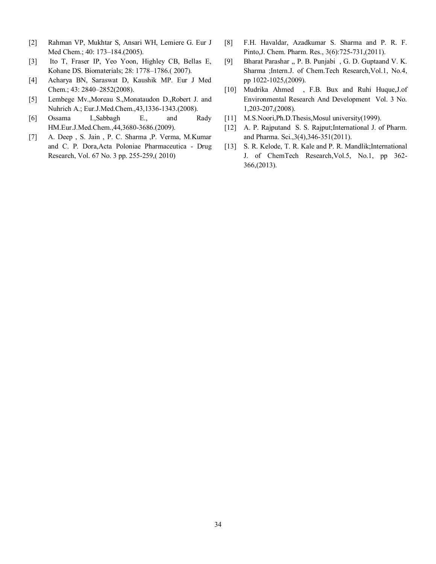- [2] Rahman VP, Mukhtar S, Ansari WH, Lemiere G. Eur J Med Chem.; 40: 173–184.(2005).
- [3] Ito T, Fraser IP, Yeo Yoon, Highley CB, Bellas E, Kohane DS. Biomaterials; 28: 1778–1786.( 2007).
- [4] Acharya BN, Saraswat D, Kaushik MP. Eur J Med Chem.; 43: 2840–2852(2008).
- [5] Lembege Mv.,Moreau S.,Monataudon D.,Robert J. and Nuhrich A.; Eur.J.Med.Chem.,43,1336-1343.(2008).
- [6] Ossama I.,Sabbagh E., and Rady HM.Eur.J.Med.Chem.,44,3680-3686.(2009).
- [7] A. Deep , S. Jain , P. C. Sharma ,P. Verma, M.Kumar and C. P. Dora,Acta Poloniae Pharmaceutica - Drug Research, Vol. 67 No. 3 pp. 255-259,( 2010)
- [8] F.H. Havaldar, Azadkumar S. Sharma and P. R. F. Pinto,J. Chem. Pharm. Res., 3(6):725-731,(2011).
- [9] Bharat Parashar ,, P. B. Punjabi , G. D. Guptaand V. K. Sharma ;Intern.J. of Chem.Tech Research,Vol.1, No.4, pp 1022-1025,(2009).
- [10] Mudrika Ahmed , F.B. Bux and Ruhi Huque,J.of Environmental Research And Development Vol. 3 No. 1,203-207,(2008).
- [11] M.S.Noori, Ph.D.Thesis, Mosul university (1999).
- [12] A. P. Rajputand S. S. Rajput; International J. of Pharm. and Pharma. Sci.,3(4),346-351(2011).
- [13] S. R. Kelode, T. R. Kale and P. R. Mandlik; International J. of ChemTech Research,Vol.5, No.1, pp 362- 366,(2013).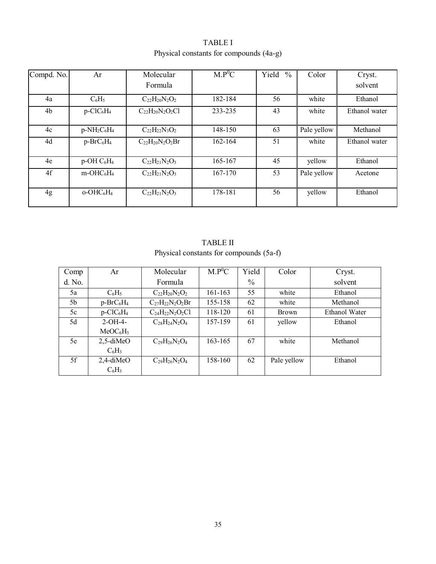TABLE I Physical constants for compounds (4a-g)

| Compd. No. | Ar                                   | Molecular                  | $M.P^0C$ | Yield<br>$\frac{0}{0}$ | Color       | Cryst.        |
|------------|--------------------------------------|----------------------------|----------|------------------------|-------------|---------------|
|            |                                      | Formula                    |          |                        |             | solvent       |
| 4a         | $C_6H_5$                             | $C_{22}H_{20}N_2O_2$       | 182-184  | 56                     | white       | Ethanol       |
| 4b         | $p$ -ClC <sub>6</sub> H <sub>4</sub> | $C_{22}H_{20}N_{2}O_{2}Cl$ | 233-235  | 43                     | white       | Ethanol water |
| 4c         | $p-NH_2C_6H_4$                       | $C_{22}H_{22}N_3O_2$       | 148-150  | 63                     | Pale yellow | Methanol      |
| 4d         | $p-BrC_6H_4$                         | $C_{22}H_{20}N_2O_2Br$     | 162-164  | 51                     | white       | Ethanol water |
| 4e         | $p-OH C6H4$                          | $C_{22}H_{21}N_2O_3$       | 165-167  | 45                     | yellow      | Ethanol       |
| 4f         | $m-OHC_6H_4$                         | $C_{22}H_{21}N_2O_3$       | 167-170  | 53                     | Pale yellow | Acetone       |
| 4g         | $O-OHC6H4$                           | $C_{22}H_{21}N_2O_3$       | 178-181  | 56                     | yellow      | Ethanol       |

## TABLE II Physical constants for compounds (5a-f)

| Comp   | Ar                                   | Molecular              | $M.P^0C$ | Yield         | Color        | Cryst.               |
|--------|--------------------------------------|------------------------|----------|---------------|--------------|----------------------|
| d. No. |                                      | Formula                |          | $\frac{0}{0}$ |              | solvent              |
| 5a     | $C_6H_5$                             | $C_{22}H_{20}N_2O_2$   | 161-163  | 55            | white        | Ethanol              |
| 5b     | $p-BrC_6H_4$                         | $C_{27}H_{22}N_2O_2Br$ | 155-158  | 62            | white        | Methanol             |
| 5c     | $p$ -ClC <sub>6</sub> H <sub>4</sub> | $C_{24}H_{22}N_2O_2Cl$ | 118-120  | 61            | <b>Brown</b> | <b>Ethanol Water</b> |
| 5d     | $2-OH-4-$                            | $C_{28}H_{24}N_2O_4$   | 157-159  | 61            | yellow       | Ethanol              |
|        | MeOC <sub>6</sub> H <sub>3</sub>     |                        |          |               |              |                      |
| 5e     | $2,5$ -diMeO                         | $C_{29}H_{26}N_2O_4$   | 163-165  | 67            | white        | Methanol             |
|        | $C_6H_3$                             |                        |          |               |              |                      |
| 5f     | $2,4$ -diMeO                         | $C_{29}H_{26}N_2O_4$   | 158-160  | 62            | Pale yellow  | Ethanol              |
|        | $C_6H_3$                             |                        |          |               |              |                      |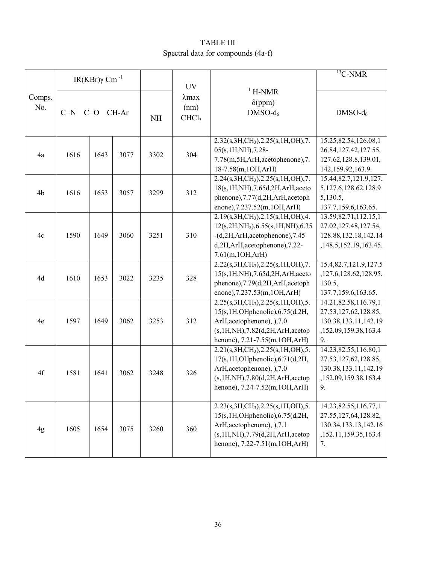## TABLE III Spectral data for compounds (4a-f)

|                                          | IR(KBr) $\gamma$ Cm <sup>-1</sup> |           |                                            |                                           | <b>UV</b>  |                                                                                                                                                                                                     | $\overline{^{13}C}$ -NMR                                                                                   |
|------------------------------------------|-----------------------------------|-----------|--------------------------------------------|-------------------------------------------|------------|-----------------------------------------------------------------------------------------------------------------------------------------------------------------------------------------------------|------------------------------------------------------------------------------------------------------------|
| Comps.<br>No.<br>$C=N$<br>CH-Ar<br>$C=O$ |                                   | <b>NH</b> | $\lambda$ max<br>(nm)<br>CHCl <sub>3</sub> | $1$ H-NMR<br>$\delta$ (ppm)<br>$DMSO-d_6$ | $DMSO-d_6$ |                                                                                                                                                                                                     |                                                                                                            |
| 4a                                       | 1616                              | 1643      | 3077                                       | 3302                                      | 304        | $2.32(s, 3H, CH3), 2.25(s, 1H, OH), 7.$<br>05(s, 1H, NH), 7.28-<br>7.78(m,5H,ArH,acetophenone),7.<br>18-7.58(m, 1OH, ArH)                                                                           | 15.25,82.54,126.08,1<br>26.84, 127.42, 127.55,<br>127.62, 128.8, 139.01,<br>142, 159. 92, 163. 9.          |
| 4b                                       | 1616                              | 1653      | 3057                                       | 3299                                      | 312        | $2.24(s, 3H, CH3), 2.25(s, 1H, OH), 7.$<br>18(s, 1H, NH), 7.65d, 2H, ArH, aceto<br>phenone), 7.77(d, 2H, ArH, acetoph<br>enone), 7.237.52(m, 1OH, ArH)                                              | 15.44,82.7,121.9,127.<br>5,127.6,128.62,128.9<br>5,130.5,<br>137.7,159.6,163.65.                           |
| 4c                                       | 1590                              | 1649      | 3060                                       | 3251                                      | 310        | 2.19(s, 3H, CH <sub>3</sub> ), 2.15(s, 1H, OH), 4.<br>12(s,2H,NH <sub>2</sub> ),6.55(s,1H,NH),6.35<br>-(d,2H,ArH,acetophenone),7.45<br>d, 2H, ArH, acetophenone), 7.22-<br>7.61(m, 1OH, ArH)        | 13.59, 82.71, 112.15, 1<br>27.02,127.48,127.54,<br>128.88, 132.18, 142.14<br>,148.5,152.19,163.45.         |
| 4d                                       | 1610                              | 1653      | 3022                                       | 3235                                      | 328        | $2.22(s, 3H, CH3), 2.25(s, 1H, OH), 7.$<br>15(s, 1H, NH), 7.65d, 2H, ArH, aceto<br>phenone), 7.79(d, 2H, ArH, acetoph<br>enone), 7.237.53(m, 1OH, ArH)                                              | 15.4,82.7,121.9,127.5<br>,127.6,128.62,128.95,<br>130.5,<br>137.7, 159.6, 163.65.                          |
| 4e                                       | 1597                              | 1649      | 3062                                       | 3253                                      | 312        | 2.25(s, 3H, CH <sub>3</sub> ), 2.25(s, 1H, OH), 5.<br>15(s, 1H, OHphenolic), 6.75(d, 2H,<br>ArH, acetophenone), ), 7.0<br>(s, 1H, NH), 7.82(d, 2H, ArH, acetop)<br>henone), 7.21-7.55(m, 1OH, ArH)  | 14.21,82.58,116.79,1<br>27.53, 127, 62, 128.85,<br>130.38, 133.11, 142.19<br>,152.09,159.38,163.4<br>9.    |
| 4f                                       | 1581                              | 1641      | 3062                                       | 3248                                      | 326        | 2.21(s, 3H, CH <sub>3</sub> ), 2.25(s, 1H, OH), 5.<br>17(s, 1H, OH phenolic), 6.71(d, 2H,<br>ArH, acetophenone), ), 7.0<br>(s, 1H, NH), 7.80(d, 2H, ArH, acetop<br>henone), 7.24-7.52(m, 1OH, ArH)  | 14.23,82.55,116.80,1<br>27.53, 127, 62, 128.85,<br>130.38,133.11,142.19<br>,152.09,159.38,163.4<br>9.      |
| 4g                                       | 1605                              | 1654      | 3075                                       | 3260                                      | 360        | 2.23(s, 3H, CH <sub>3</sub> ), 2.25(s, 1H, OH), 5.<br>15(s, 1H, OH phenolic), 6.75(d, 2H,<br>ArH, acetophenone), ), 7.1<br>(s, 1H, NH), 7.79(d, 2H, ArH, acetop)<br>henone), 7.22-7.51(m, 1OH, ArH) | 14.23, 82.55, 116.77, 1<br>27.55, 127, 64, 128.82,<br>130.34, 133.13, 142.16<br>,152.11,159.35,163.4<br>7. |